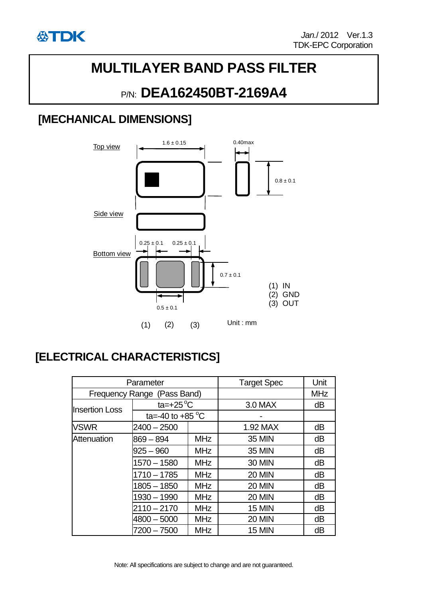

# **MULTILAYER BAND PASS FILTER**

## P/N: **DEA162450BT-2169A4**

### **[MECHANICAL DIMENSIONS]**



## **[ELECTRICAL CHARACTERISTICS]**

| Parameter                   |                            |            | <b>Target Spec</b> | Unit       |
|-----------------------------|----------------------------|------------|--------------------|------------|
| Frequency Range (Pass Band) |                            |            |                    | <b>MHz</b> |
| <b>Insertion Loss</b>       | ta= $+25^{\circ}$ C        |            | 3.0 MAX            | dB         |
|                             | ta=-40 to +85 $^{\circ}$ C |            |                    |            |
| <b>VSWR</b>                 | 2400 - 2500                |            | 1.92 MAX           | dB         |
| Attenuation                 | $869 - 894$                | <b>MHz</b> | <b>35 MIN</b>      | dB         |
|                             | $925 - 960$                | <b>MHz</b> | <b>35 MIN</b>      | dB         |
|                             | $1570 - 1580$              | <b>MHz</b> | <b>30 MIN</b>      | dB         |
|                             | $1710 - 1785$              | <b>MHz</b> | <b>20 MIN</b>      | dB         |
|                             | $1805 - 1850$              | <b>MHz</b> | <b>20 MIN</b>      | dB         |
|                             | $1930 - 1990$              | <b>MHz</b> | <b>20 MIN</b>      | dB         |
|                             | $2110 - 2170$              | <b>MHz</b> | <b>15 MIN</b>      | dB         |
|                             | $4800 - 5000$              | <b>MHz</b> | <b>20 MIN</b>      | dB         |
|                             | 7200 – 7500                | <b>MHz</b> | <b>15 MIN</b>      | dB         |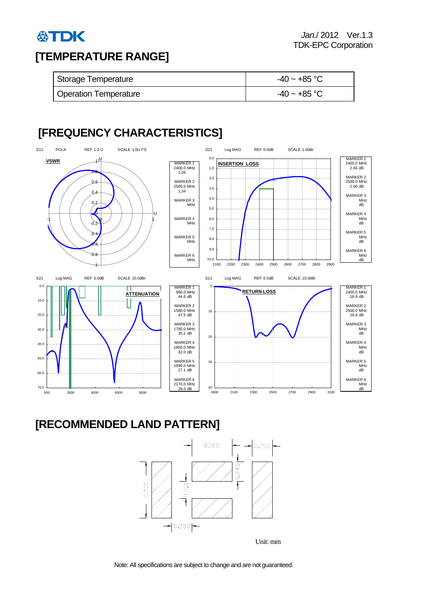

#### **[TEMPERATURE RANGE]**

| Storage Temperature          | $-40 \sim +85$ °C |  |
|------------------------------|-------------------|--|
| <b>Operation Temperature</b> | $-40 \sim +85$ °C |  |

### **[FREQUENCY CHARACTERISTICS]**



#### **[RECOMMENDED LAND PATTERN]**